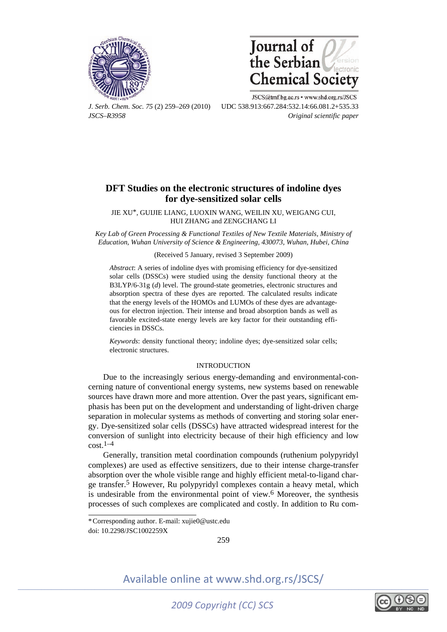



JSCS@tmf.bg.ac.rs · www.shd.org.rs/JSCS *J. Serb. Chem. Soc. 75* (2) 259–269 (2010) UDC 538.913:667.284:532.14:66.081.2+535.33 *JSCS–R3958 Original scientific paper* 

## **DFT Studies on the electronic structures of indoline dyes for dye-sensitized solar cells**

JIE XU\*, GUIJIE LIANG, LUOXIN WANG, WEILIN XU, WEIGANG CUI, HUI ZHANG and ZENGCHANG LI

*Key Lab of Green Processing & Functional Textiles of New Textile Materials, Ministry of Education, Wuhan University of Science & Engineering, 430073, Wuhan, Hubei, China* 

## (Received 5 January, revised 3 September 2009)

*Abstract*: A series of indoline dyes with promising efficiency for dye-sensitized solar cells (DSSCs) were studied using the density functional theory at the B3LYP/6-31g (*d*) level. The ground-state geometries, electronic structures and absorption spectra of these dyes are reported. The calculated results indicate that the energy levels of the HOMOs and LUMOs of these dyes are advantageous for electron injection. Their intense and broad absorption bands as well as favorable excited-state energy levels are key factor for their outstanding efficiencies in DSSCs.

*Keywords*: density functional theory; indoline dyes; dye-sensitized solar cells; electronic structures.

## INTRODUCTION

Due to the increasingly serious energy-demanding and environmental-concerning nature of conventional energy systems, new systems based on renewable sources have drawn more and more attention. Over the past years, significant emphasis has been put on the development and understanding of light-driven charge separation in molecular systems as methods of converting and storing solar energy. Dye-sensitized solar cells (DSSCs) have attracted widespread interest for the conversion of sunlight into electricity because of their high efficiency and low  $\cot^{-1-4}$ 

Generally, transition metal coordination compounds (ruthenium polypyridyl complexes) are used as effective sensitizers, due to their intense charge-transfer absorption over the whole visible range and highly efficient metal-to-ligand charge transfer.5 However, Ru polypyridyl complexes contain a heavy metal, which is undesirable from the environmental point of view.6 Moreover, the synthesis processes of such complexes are complicated and costly. In addition to Ru com-

doi: 10.2298/JSC1002259X

í

259



<sup>\*</sup> Corresponding author. E-mail: xujie0@ustc.edu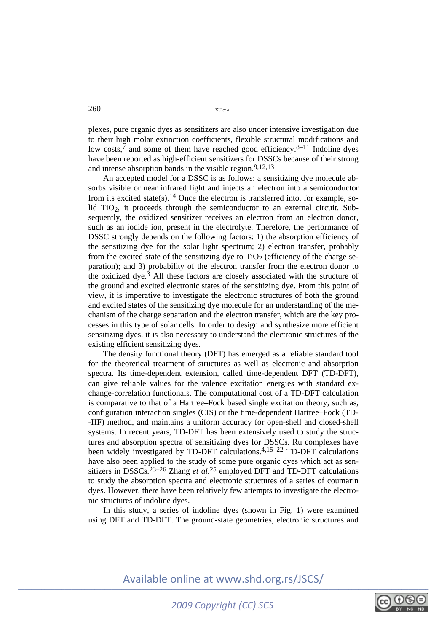plexes, pure organic dyes as sensitizers are also under intensive investigation due to their high molar extinction coefficients, flexible structural modifications and low costs, $\bar{7}$  and some of them have reached good efficiency.<sup>8–11</sup> Indoline dyes have been reported as high-efficient sensitizers for DSSCs because of their strong and intense absorption bands in the visible region.<sup>9,12,13</sup>

An accepted model for a DSSC is as follows: a sensitizing dye molecule absorbs visible or near infrared light and injects an electron into a semiconductor from its excited state(s).14 Once the electron is transferred into, for example, solid TiO<sub>2</sub>, it proceeds through the semiconductor to an external circuit. Subsequently, the oxidized sensitizer receives an electron from an electron donor, such as an iodide ion, present in the electrolyte. Therefore, the performance of DSSC strongly depends on the following factors: 1) the absorption efficiency of the sensitizing dye for the solar light spectrum; 2) electron transfer, probably from the excited state of the sensitizing dye to  $TiO<sub>2</sub>$  (efficiency of the charge separation); and 3) probability of the electron transfer from the electron donor to the oxidized dye.<sup>3</sup> All these factors are closely associated with the structure of the ground and excited electronic states of the sensitizing dye. From this point of view, it is imperative to investigate the electronic structures of both the ground and excited states of the sensitizing dye molecule for an understanding of the mechanism of the charge separation and the electron transfer, which are the key processes in this type of solar cells. In order to design and synthesize more efficient sensitizing dyes, it is also necessary to understand the electronic structures of the existing efficient sensitizing dyes.

The density functional theory (DFT) has emerged as a reliable standard tool for the theoretical treatment of structures as well as electronic and absorption spectra. Its time-dependent extension, called time-dependent DFT (TD-DFT), can give reliable values for the valence excitation energies with standard exchange-correlation functionals. The computational cost of a TD-DFT calculation is comparative to that of a Hartree–Fock based single excitation theory, such as, configuration interaction singles (CIS) or the time-dependent Hartree–Fock (TD- -HF) method, and maintains a uniform accuracy for open-shell and closed-shell systems. In recent years, TD-DFT has been extensively used to study the structures and absorption spectra of sensitizing dyes for DSSCs. Ru complexes have been widely investigated by TD-DFT calculations.<sup>4,15–22</sup> TD-DFT calculations</sup> have also been applied to the study of some pure organic dyes which act as sensitizers in DSSCs.23–26 Zhang *et al*. 25 employed DFT and TD-DFT calculations to study the absorption spectra and electronic structures of a series of coumarin dyes. However, there have been relatively few attempts to investigate the electronic structures of indoline dyes.

In this study, a series of indoline dyes (shown in Fig. 1) were examined using DFT and TD-DFT. The ground-state geometries, electronic structures and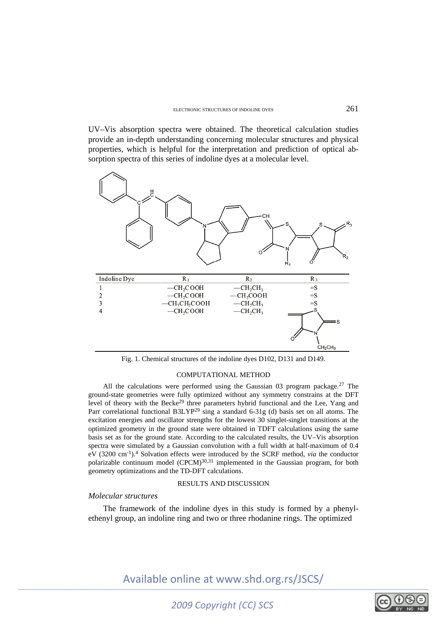UV–Vis absorption spectra were obtained. The theoretical calculation studies provide an in-depth understanding concerning molecular structures and physical properties, which is helpful for the interpretation and prediction of optical absorption spectra of this series of indoline dyes at a molecular level.



Fig. 1. Chemical structures of the indoline dyes D102, D131 and D149.

## COMPUTATIONAL METHOD

All the calculations were performed using the Gaussian 03 program package.<sup>27</sup> The ground-state geometries were fully optimized without any symmetry constrains at the DFT level of theory with the Becke<sup>29</sup> three parameters hybrid functional and the Lee, Yang and Parr correlational functional B3LYP<sup>29</sup> sing a standard 6-31g (d) basis set on all atoms. The excitation energies and oscillator strengths for the lowest 30 singlet-singlet transitions at the optimized geometry in the ground state were obtained in TDFT calculations using the same basis set as for the ground state. According to the calculated results, the UV–Vis absorption spectra were simulated by a Gaussian convolution with a full width at half-maximum of 0.4 eV (3200 cm-1).4 Solvation effects were introduced by the SCRF method, *via* the conductor polarizable continuum model (CPCM)<sup>30,31</sup> implemented in the Gaussian program, for both geometry optimizations and the TD-DFT calculations.

## RESULTS AND DISCUSSION

## *Molecular structures*

The framework of the indoline dyes in this study is formed by a phenylethenyl group, an indoline ring and two or three rhodanine rings. The optimized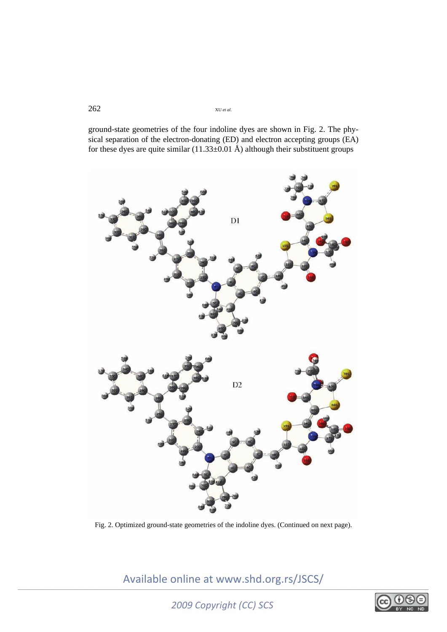ground-state geometries of the four indoline dyes are shown in Fig. 2. The physical separation of the electron-donating (ED) and electron accepting groups (EA) for these dyes are quite similar  $(11.33\pm0.01 \text{ Å})$  although their substituent groups



Fig. 2. Optimized ground-state geometries of the indoline dyes. (Continued on next page).

*2009 Copyright (CC) SCS*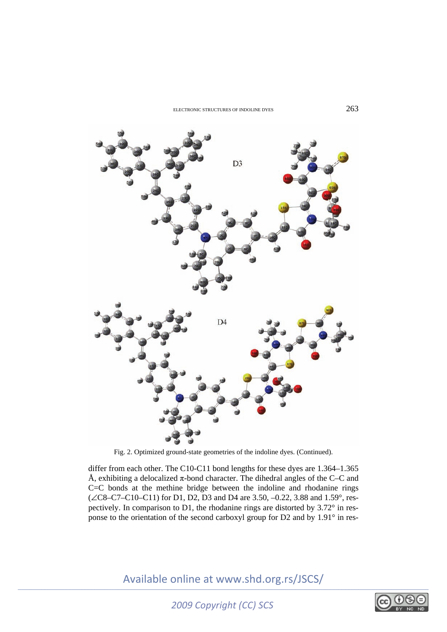

Fig. 2. Optimized ground-state geometries of the indoline dyes. (Continued).

differ from each other. The C10-C11 bond lengths for these dyes are 1.364–1.365 Å, exhibiting a delocalized  $\pi$ -bond character. The dihedral angles of the C–C and C=C bonds at the methine bridge between the indoline and rhodanine rings  $(\angle$ C8–C7–C10–C11) for D1, D2, D3 and D4 are 3.50, –0.22, 3.88 and 1.59°, respectively. In comparison to D1, the rhodanine rings are distorted by 3.72° in response to the orientation of the second carboxyl group for D2 and by 1.91° in res-

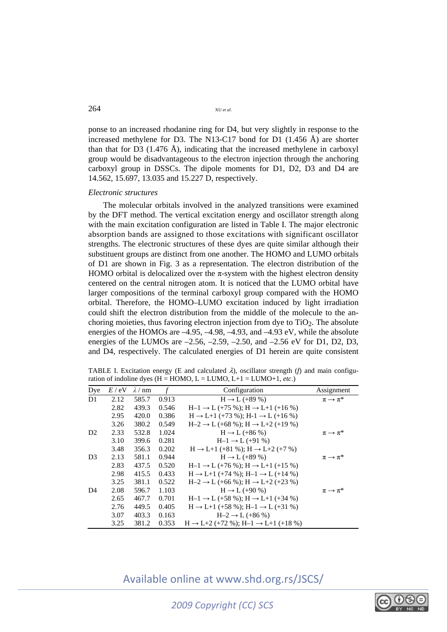ponse to an increased rhodanine ring for D4, but very slightly in response to the increased methylene for D3. The N13-C17 bond for D1 (1.456 Å) are shorter than that for D3 (1.476 Å), indicating that the increased methylene in carboxyl group would be disadvantageous to the electron injection through the anchoring carboxyl group in DSSCs. The dipole moments for D1, D2, D3 and D4 are 14.562, 15.697, 13.035 and 15.227 D, respectively.

## *Electronic structures*

The molecular orbitals involved in the analyzed transitions were examined by the DFT method. The vertical excitation energy and oscillator strength along with the main excitation configuration are listed in Table I. The major electronic absorption bands are assigned to those excitations with significant oscillator strengths. The electronic structures of these dyes are quite similar although their substituent groups are distinct from one another. The HOMO and LUMO orbitals of D1 are shown in Fig. 3 as a representation. The electron distribution of the HOMO orbital is delocalized over the  $\pi$ -system with the highest electron density centered on the central nitrogen atom. It is noticed that the LUMO orbital have larger compositions of the terminal carboxyl group compared with the HOMO orbital. Therefore, the HOMO–LUMO excitation induced by light irradiation could shift the electron distribution from the middle of the molecule to the anchoring moieties, thus favoring electron injection from dye to  $TiO<sub>2</sub>$ . The absolute energies of the HOMOs are –4.95, –4.98, –4.93, and –4.93 eV, while the absolute energies of the LUMOs are  $-2.56$ ,  $-2.59$ ,  $-2.50$ , and  $-2.56$  eV for D1, D2, D3, and D4, respectively. The calculated energies of D1 herein are quite consistent

TABLE I. Excitation energy (E and calculated  $\lambda$ ), oscillator strength (*f*) and main configuration of indoline dyes  $(H = HOMO, L = LUMO, L+1 = LUMO+1, etc.)$ 

| Dye            | E / eV | $\lambda / nm$ | $\mathcal{f}$ | Configuration                                              | Assignment              |
|----------------|--------|----------------|---------------|------------------------------------------------------------|-------------------------|
| D <sub>1</sub> | 2.12   | 585.7          | 0.913         | $H \rightarrow L$ (+89 %)                                  | $\pi \rightarrow \pi^*$ |
|                | 2.82   | 439.3          | 0.546         | $H-1 \rightarrow L$ (+75 %); $H \rightarrow L+1$ (+16 %)   |                         |
|                | 2.95   | 420.0          | 0.386         | $H \rightarrow L+1$ (+73 %); $H-1 \rightarrow L$ (+16 %)   |                         |
|                | 3.26   | 380.2          | 0.549         | $H-2 \rightarrow L$ (+68 %); $H \rightarrow L+2$ (+19 %)   |                         |
| D <sub>2</sub> | 2.33   | 532.8          | 1.024         | $H \rightarrow L$ (+86 %)                                  | $\pi \rightarrow \pi^*$ |
|                | 3.10   | 399.6          | 0.281         | $H-1 \rightarrow L (+91%)$                                 |                         |
|                | 3.48   | 356.3          | 0.202         | $H \rightarrow L+1$ (+81 %); $H \rightarrow L+2$ (+7 %)    |                         |
| D <sub>3</sub> | 2.13   | 581.1          | 0.944         | $H \rightarrow L$ (+89 %)                                  | $\pi \rightarrow \pi^*$ |
|                | 2.83   | 437.5          | 0.520         | $H-1 \rightarrow L$ (+76 %); $H \rightarrow L+1$ (+15 %)   |                         |
|                | 2.98   | 415.5          | 0.433         | $H \rightarrow L+1$ (+74 %); $H-1 \rightarrow L$ (+14 %)   |                         |
|                | 3.25   | 381.1          | 0.522         | $H-2 \rightarrow L$ (+66 %); $H \rightarrow L+2$ (+23 %)   |                         |
| D <sub>4</sub> | 2.08   | 596.7          | 1.103         | $H \rightarrow L$ (+90 %)                                  | $\pi \rightarrow \pi^*$ |
|                | 2.65   | 467.7          | 0.701         | $H-1 \rightarrow L$ (+58 %); $H \rightarrow L+1$ (+34 %)   |                         |
|                | 2.76   | 449.5          | 0.405         | $H \rightarrow L+1$ (+58 %); $H-1 \rightarrow L$ (+31 %)   |                         |
|                | 3.07   | 403.3          | 0.163         | $H-2 \rightarrow L (+86%)$                                 |                         |
|                | 3.25   | 381.2          | 0.353         | $H \rightarrow L+2$ (+72 %); $H-1 \rightarrow L+1$ (+18 %) |                         |

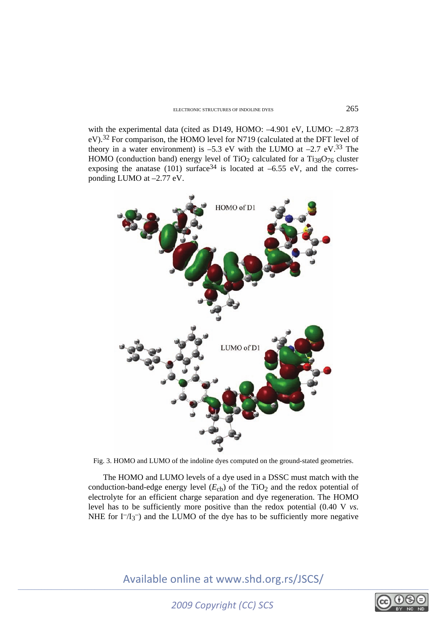with the experimental data (cited as D149, HOMO: -4.901 eV, LUMO: -2.873 eV).32 For comparison, the HOMO level for N719 (calculated at the DFT level of theory in a water environment) is  $-5.3$  eV with the LUMO at  $-2.7$  eV.<sup>33</sup> The HOMO (conduction band) energy level of TiO<sub>2</sub> calculated for a Ti<sub>38</sub>O<sub>76</sub> cluster exposing the anatase (101) surface<sup>34</sup> is located at  $-6.55$  eV, and the corresponding LUMO at –2.77 eV.



Fig. 3. HOMO and LUMO of the indoline dyes computed on the ground-stated geometries.

The HOMO and LUMO levels of a dye used in a DSSC must match with the conduction-band-edge energy level  $(E<sub>cb</sub>)$  of the TiO<sub>2</sub> and the redox potential of electrolyte for an efficient charge separation and dye regeneration. The HOMO level has to be sufficiently more positive than the redox potential (0.40 V *vs*. NHE for  $I^{-}/I_3^-$ ) and the LUMO of the dye has to be sufficiently more negative

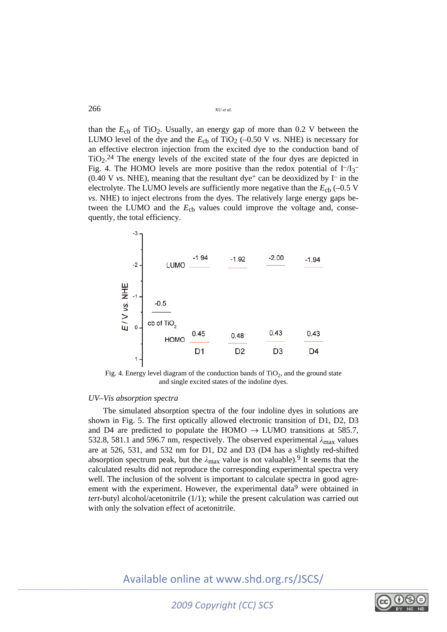than the  $E<sub>cb</sub>$  of TiO<sub>2</sub>. Usually, an energy gap of more than 0.2 V between the LUMO level of the dye and the  $E_{cb}$  of TiO<sub>2</sub> (-0.50 V *vs*. NHE) is necessary for an effective electron injection from the excited dye to the conduction band of  $TiO<sub>2</sub>$ .<sup>24</sup> The energy levels of the excited state of the four dyes are depicted in Fig. 4. The HOMO levels are more positive than the redox potential of  $I<sub>-13</sub>$  $(0.40 \text{ V} \text{ vs. NHE})$ , meaning that the resultant dye<sup>+</sup> can be deoxidized by I<sup>-</sup> in the electrolyte. The LUMO levels are sufficiently more negative than the  $E_{cb}$  (-0.5 V *vs*. NHE) to inject electrons from the dyes. The relatively large energy gaps between the LUMO and the  $E_{cb}$  values could improve the voltage and, consequently, the total efficiency.



Fig. 4. Energy level diagram of the conduction bands of  $TiO<sub>2</sub>$ , and the ground state and single excited states of the indoline dyes.

## *UV–Vis absorption spectra*

The simulated absorption spectra of the four indoline dyes in solutions are shown in Fig. 5. The first optically allowed electronic transition of D1, D2, D3 and D4 are predicted to populate the HOMO  $\rightarrow$  LUMO transitions at 585.7, 532.8, 581.1 and 596.7 nm, respectively. The observed experimental *λ*max values are at 526, 531, and 532 nm for D1, D2 and D3 (D4 has a slightly red-shifted absorption spectrum peak, but the  $\lambda_{\text{max}}$  value is not valuable).<sup>9</sup> It seems that the calculated results did not reproduce the corresponding experimental spectra very well. The inclusion of the solvent is important to calculate spectra in good agreement with the experiment. However, the experimental data<sup>9</sup> were obtained in *tert*-butyl alcohol/acetonitrile (1/1); while the present calculation was carried out with only the solvation effect of acetonitrile.

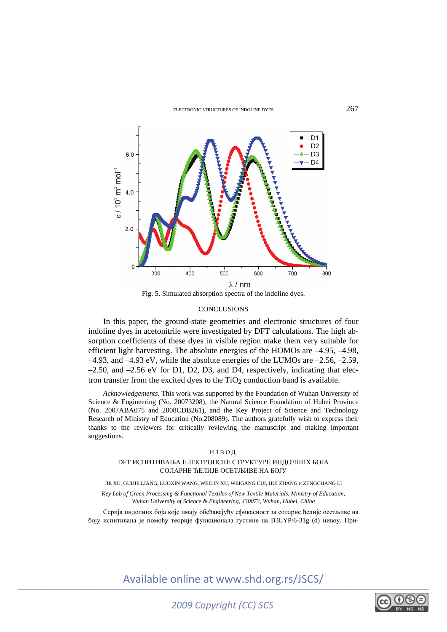

Fig. 5. Simulated absorption spectra of the indoline dyes.

## **CONCLUSIONS**

In this paper, the ground-state geometries and electronic structures of four indoline dyes in acetonitrile were investigated by DFT calculations. The high absorption coefficients of these dyes in visible region make them very suitable for efficient light harvesting. The absolute energies of the HOMOs are –4.95, –4.98, –4.93, and –4.93 eV, while the absolute energies of the LUMOs are –2.56, –2.59,  $-2.50$ , and  $-2.56$  eV for D1, D2, D3, and D4, respectively, indicating that electron transfer from the excited dyes to the  $TiO<sub>2</sub>$  conduction band is available.

*Acknowledgements*. This work was supported by the Foundation of Wuhan University of Science & Engineering (No. 20073208), the Natural Science Foundation of Hubei Province (No. 2007ABA075 and 2008CDB261), and the Key Project of Science and Technology Research of Ministry of Education (No.208089). The authors gratefully wish to express their thanks to the reviewers for critically reviewing the manuscript and making important suggestions.

### ИЗВОД

## DFT ИСПИТИВАЊА ЕЛЕКТРОНСКЕ СТРУКТУРЕ ИНДОЛНИХ БОЈА СОЛАРНЕ ЋЕЛИЈЕ ОСЕТЉИВЕ НА БОЈУ

#### JIE XU, GUIJIE LIANG, LUOXIN WANG, WEILIN XU, WEIGANG CUI, HUI ZHANG и ZENGCHANG LI

*Key Lab of Green Processing & Functional Textiles of New Textile Materials, Ministry of Education, Wuhan University of Science & Engineering, 430073, Wuhan, Hubei, China* 

Серија индолних боја које имају обећавајућу ефикасност за соларне ћелије осетљиве на боју испитивана је помоћу теорије функционала густине на B3LYP/6-31g (d) нивоу. При-



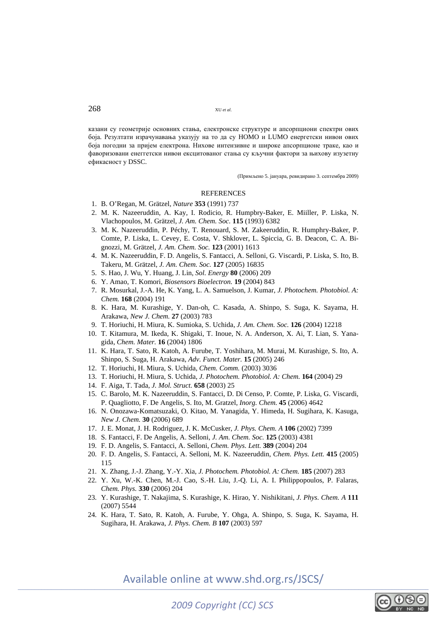казани су геометрије основних стања, електронске структуре и апсорпциони спектри ових боја. Резултати израчунавања указују на то да су HOMO и LUMO енергетски нивои ових боја погодни за пријем електрона. Нихове интензивне и широке апсорпционе траке, као и фаворизовани енеггетски нивои ексцитованог стања су кључни фактори за њихову изузетну ефикасност у DSSC.

(Примљено 5. јануара, ревидирано 3. септембра 2009)

## REFERENCES

- 1. B. O'Regan, M. Grätzel, *Nature* **353** (1991) 737
- 2. M. K. Nazeeruddin, A. Kay, I. Rodicio, R. Humpbry-Baker, E. Miiller, P. Liska, N. Vlachopoulos, M. Grätzel, *J. Am. Chem. Soc.* **115** (1993) 6382
- 3. M. K. Nazeeruddin, P. Péchy, T. Renouard, S. M. Zakeeruddin, R. Humphry-Baker, P. Comte, P. Liska, L. Cevey, E. Costa, V. Shklover, L. Spiccia, G. B. Deacon, C. A. Bignozzi, M. Grätzel, *J. Am. Chem. Soc.* **123** (2001) 1613
- 4. M. K. Nazeeruddin, F. D. Angelis, S. Fantacci, A. Selloni, G. Viscardi, P. Liska, S. Ito, B. Takeru, M. Grätzel, *J. Am. Chem. Soc.* **127** (2005) 16835
- 5. S. Hao, J. Wu, Y. Huang, J. Lin, *Sol. Energy* **80** (2006) 209
- 6. Y. Amao, T. Komori, *Biosensors Bioelectron.* **19** (2004) 843
- 7. R. Mosurkal, J.-A. He, K. Yang, L. A. Samuelson, J. Kumar, *J. Photochem. Photobiol. A: Chem.* **168** (2004) 191
- 8. K. Hara, M. Kurashige, Y. Dan-oh, C. Kasada, A. Shinpo, S. Suga, K. Sayama, H. Arakawa, *New J. Chem.* **27** (2003) 783
- 9. T. Horiuchi, H. Miura, K. Sumioka, S. Uchida, *J. Am. Chem. Soc.* **126** (2004) 12218
- 10. T. Kitamura, M. Ikeda, K. Shigaki, T. Inoue, N. A. Anderson, X. Ai, T. Lian, S. Yanagida, *Chem. Mater.* **16** (2004) 1806
- 11. K. Hara, T. Sato, R. Katoh, A. Furube, T. Yoshihara, M. Murai, M. Kurashige, S. Ito, A. Shinpo, S. Suga, H. Arakawa, *Adv. Funct. Mater.* **15** (2005) 246
- 12. T. Horiuchi, H. Miura, S. Uchida, *Chem. Comm.* (2003) 3036
- 13. T. Horiuchi, H. Miura, S. Uchida, *J. Photochem. Photobiol. A: Chem.* **164** (2004) 29
- 14. F. Aiga, T. Tada, *J. Mol. Struct.* **658** (2003) 25
- 15. C. Barolo, M. K. Nazeeruddin, S. Fantacci, D. Di Censo, P. Comte, P. Liska, G. Viscardi, P. Quagliotto, F. De Angelis, S. Ito, M. Gratzel, *Inorg. Chem.* **45** (2006) 4642
- 16. N. Onozawa-Komatsuzaki, O. Kitao, M. Yanagida, Y. Himeda, H. Sugihara, K. Kasuga, *New J. Chem.* **30** (2006) 689
- 17. J. E. Monat, J. H. Rodriguez, J. K. McCusker, *J. Phys. Chem. A* **106** (2002) 7399
- 18. S. Fantacci, F. De Angelis, A. Selloni, *J. Am. Chem. Soc.* **125** (2003) 4381
- 19. F. D. Angelis, S. Fantacci, A. Selloni, *Chem. Phys. Lett.* **389** (2004) 204
- 20. F. D. Angelis, S. Fantacci, A. Selloni, M. K. Nazeeruddin, *Chem. Phys. Lett.* **415** (2005) 115
- 21. X. Zhang, J.-J. Zhang, Y.-Y. Xia, *J. Photochem. Photobiol. A: Chem.* **185** (2007) 283
- 22. Y. Xu, W.-K. Chen, M.-J. Cao, S.-H. Liu, J.-Q. Li, A. I. Philippopoulos, P. Falaras, *Chem. Phys.* **330** (2006) 204
- 23. Y. Kurashige, T. Nakajima, S. Kurashige, K. Hirao, Y. Nishikitani, *J. Phys. Chem. A* **111** (2007) 5544
- 24. K. Hara, T. Sato, R. Katoh, A. Furube, Y. Ohga, A. Shinpo, S. Suga, K. Sayama, H. Sugihara, H. Arakawa, *J. Phys. Chem. B* **107** (2003) 597